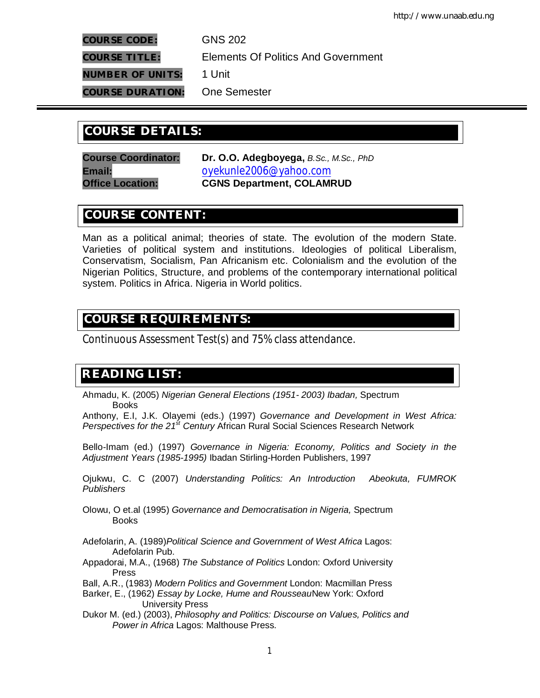**COURSE CODE:** GNS 202

**COURSE TITLE:** Elements Of Politics And Government

**NUMBER OF UNITS:** 1 Unit

**COURSE DURATION:** One Semester

# **COURSE DETAILS: COURSE DETAILS:**

**Course Coordinator: Dr. O.O. Adegboyega,** *B.Sc., M.Sc., PhD* **Email:** oyekunle2006@yahoo.com **Office Location: CGNS Department, COLAMRUD**

# **COURSE CONTENT:**

Man as a political animal; theories of state. The evolution of the modern State. Varieties of political system and institutions. Ideologies of political Liberalism, Conservatism, Socialism, Pan Africanism etc. Colonialism and the evolution of the Nigerian Politics, Structure, and problems of the contemporary international political system. Politics in Africa. Nigeria in World politics.

# **COURSE REQUIREMENTS:**

Continuous Assessment Test(s) and 75% class attendance.

# **READING LIST:**

Ahmadu, K. (2005) *Nigerian General Elections (1951- 2003) Ibadan,* Spectrum Books

Anthony, E.I, J.K. Olayemi (eds.) (1997) *Governance and Development in West Africa: Perspectives for the 21st Century* African Rural Social Sciences Research Network

Bello-Imam (ed.) (1997) *Governance in Nigeria: Economy, Politics and Society in the Adjustment Years (1985-1995)* Ibadan Stirling-Horden Publishers, 1997

Ojukwu, C. C (2007) *Understanding Politics: An Introduction Abeokuta, FUMROK Publishers*

Olowu, O et.al (1995) *Governance and Democratisation in Nigeria,* Spectrum Books

Adefolarin, A. (1989)*Political Science and Government of West Africa* Lagos: Adefolarin Pub.

Appadorai, M.A., (1968) *The Substance of Politics* London: Oxford University Press

Ball, A.R., (1983) *Modern Politics and Government* London: Macmillan Press

Barker, E., (1962) *Essay by Locke, Hume and Rousseau*New York: Oxford University Press

Dukor M. (ed.) (2003), *Philosophy and Politics: Discourse on Values, Politics and Power in Africa* Lagos: Malthouse Press.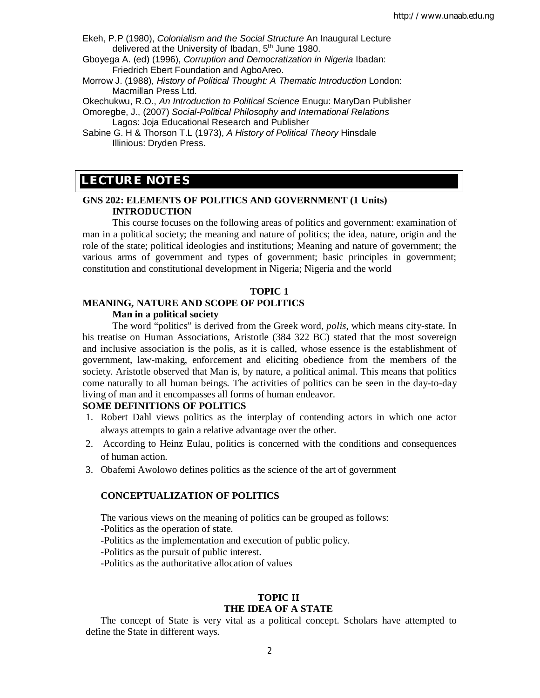- Ekeh, P.P (1980), *Colonialism and the Social Structure* An Inaugural Lecture delivered at the University of Ibadan, 5<sup>th</sup> June 1980.
- Gboyega A. (ed) (1996), *Corruption and Democratization in Nigeria* Ibadan: Friedrich Ebert Foundation and AgboAreo.
- Morrow J. (1988), *History of Political Thought: A Thematic Introduction* London: Macmillan Press Ltd.
- Okechukwu, R.O., *An Introduction to Political Science* Enugu: MaryDan Publisher

Omoregbe, J., (2007) *Social-Political Philosophy and International Relations* 

Lagos: Joja Educational Research and Publisher

Sabine G. H & Thorson T.L (1973), *A History of Political Theory* Hinsdale Illinious: Dryden Press.

# **LECTURE NOTES**

**E**

# **GNS 202: ELEMENTS OF POLITICS AND GOVERNMENT (1 Units) INTRODUCTION**

This course focuses on the following areas of politics and government: examination of man in a political society; the meaning and nature of politics; the idea, nature, origin and the role of the state; political ideologies and institutions; Meaning and nature of government; the various arms of government and types of government; basic principles in government; constitution and constitutional development in Nigeria; Nigeria and the world

#### **TOPIC 1**

## **MEANING, NATURE AND SCOPE OF POLITICS Man in a political society**

The word "politics" is derived from the Greek word, *polis*, which means city-state. In his treatise on Human Associations, Aristotle (384 322 BC) stated that the most sovereign and inclusive association is the polis, as it is called, whose essence is the establishment of government, law-making, enforcement and eliciting obedience from the members of the society. Aristotle observed that Man is, by nature, a political animal. This means that politics come naturally to all human beings. The activities of politics can be seen in the day-to-day living of man and it encompasses all forms of human endeavor.

#### **SOME DEFINITIONS OF POLITICS**

- 1. Robert Dahl views politics as the interplay of contending actors in which one actor always attempts to gain a relative advantage over the other.
- 2. According to Heinz Eulau, politics is concerned with the conditions and consequences of human action.
- 3. Obafemi Awolowo defines politics as the science of the art of government

## **CONCEPTUALIZATION OF POLITICS**

The various views on the meaning of politics can be grouped as follows:

-Politics as the operation of state.

-Politics as the implementation and execution of public policy.

-Politics as the pursuit of public interest.

-Politics as the authoritative allocation of values

## **TOPIC II THE IDEA OF A STATE**

The concept of State is very vital as a political concept. Scholars have attempted to define the State in different ways.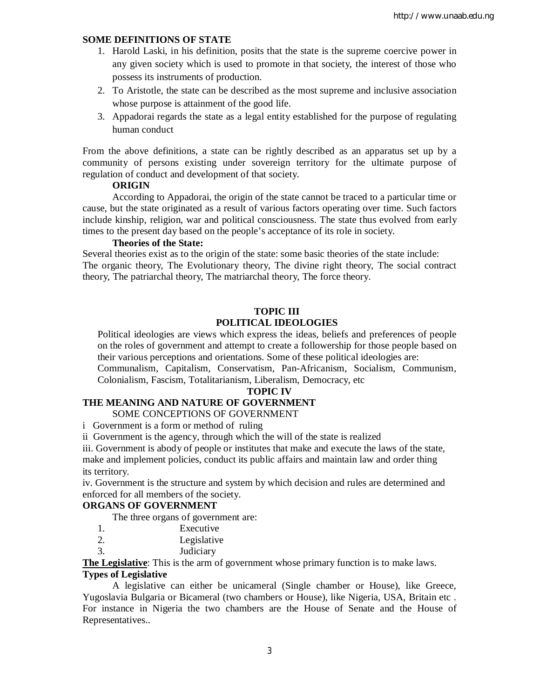# **SOME DEFINITIONS OF STATE**

- 1. Harold Laski, in his definition, posits that the state is the supreme coercive power in any given society which is used to promote in that society, the interest of those who possess its instruments of production.
- 2. To Aristotle, the state can be described as the most supreme and inclusive association whose purpose is attainment of the good life.
- 3. Appadorai regards the state as a legal entity established for the purpose of regulating human conduct

From the above definitions, a state can be rightly described as an apparatus set up by a community of persons existing under sovereign territory for the ultimate purpose of regulation of conduct and development of that society.

#### **ORIGIN**

According to Appadorai, the origin of the state cannot be traced to a particular time or cause, but the state originated as a result of various factors operating over time. Such factors include kinship, religion, war and political consciousness. The state thus evolved from early times to the present day based on the people's acceptance of its role in society.

## **Theories of the State:**

Several theories exist as to the origin of the state: some basic theories of the state include: The organic theory, The Evolutionary theory, The divine right theory, The social contract theory, The patriarchal theory, The matriarchal theory, The force theory.

# **TOPIC III POLITICAL IDEOLOGIES**

Political ideologies are views which express the ideas, beliefs and preferences of people on the roles of government and attempt to create a followership for those people based on their various perceptions and orientations. Some of these political ideologies are:

Communalism, Capitalism, Conservatism, Pan-Africanism, Socialism, Communism, Colonialism, Fascism, Totalitarianism, Liberalism, Democracy, etc

#### **TOPIC IV**

# **THE MEANING AND NATURE OF GOVERNMENT**

SOME CONCEPTIONS OF GOVERNMENT

i Government is a form or method of ruling

ii Government is the agency, through which the will of the state is realized

iii. Government is abody of people or institutes that make and execute the laws of the state, make and implement policies, conduct its public affairs and maintain law and order thing its territory.

iv. Government is the structure and system by which decision and rules are determined and enforced for all members of the society.

# **ORGANS OF GOVERNMENT**

The three organs of government are:

| Executive |
|-----------|
|           |

- 2. Legislative
- 3. Judiciary

**The Legislative**: This is the arm of government whose primary function is to make laws.

# **Types of Legislative**

A legislative can either be unicameral (Single chamber or House), like Greece, Yugoslavia Bulgaria or Bicameral (two chambers or House), like Nigeria, USA, Britain etc . For instance in Nigeria the two chambers are the House of Senate and the House of Representatives..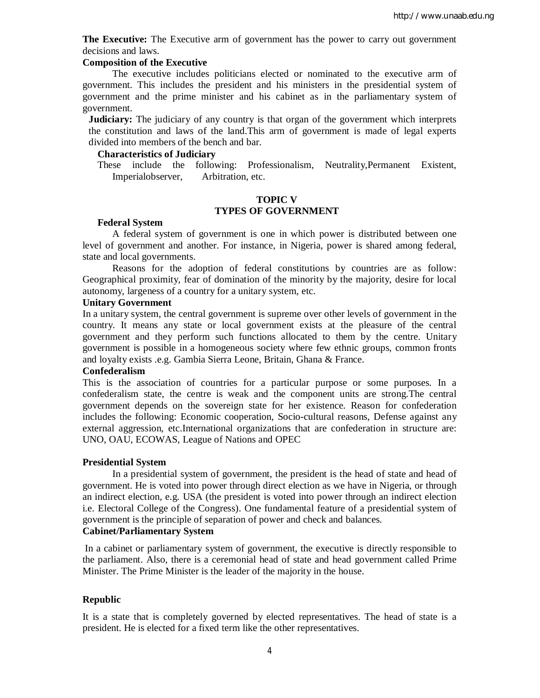**The Executive:** The Executive arm of government has the power to carry out government decisions and laws.

## **Composition of the Executive**

The executive includes politicians elected or nominated to the executive arm of government. This includes the president and his ministers in the presidential system of government and the prime minister and his cabinet as in the parliamentary system of government.

**Judiciary:** The judiciary of any country is that organ of the government which interprets the constitution and laws of the land.This arm of government is made of legal experts divided into members of the bench and bar.

#### **Characteristics of Judiciary**

These include the following: Professionalism, Neutrality,Permanent Existent, Imperialobserver, Arbitration, etc.

# **TOPIC V TYPES OF GOVERNMENT**

#### **Federal System**

A federal system of government is one in which power is distributed between one level of government and another. For instance, in Nigeria, power is shared among federal, state and local governments.

Reasons for the adoption of federal constitutions by countries are as follow: Geographical proximity, fear of domination of the minority by the majority, desire for local autonomy, largeness of a country for a unitary system, etc.

#### **Unitary Government**

In a unitary system, the central government is supreme over other levels of government in the country. It means any state or local government exists at the pleasure of the central government and they perform such functions allocated to them by the centre. Unitary government is possible in a homogeneous society where few ethnic groups, common fronts and loyalty exists .e.g. Gambia Sierra Leone, Britain, Ghana & France.

#### **Confederalism**

This is the association of countries for a particular purpose or some purposes. In a confederalism state, the centre is weak and the component units are strong.The central government depends on the sovereign state for her existence. Reason for confederation includes the following: Economic cooperation, Socio-cultural reasons, Defense against any external aggression, etc.International organizations that are confederation in structure are: UNO, OAU, ECOWAS, League of Nations and OPEC

#### **Presidential System**

In a presidential system of government, the president is the head of state and head of government. He is voted into power through direct election as we have in Nigeria, or through an indirect election, e.g. USA (the president is voted into power through an indirect election i.e. Electoral College of the Congress). One fundamental feature of a presidential system of government is the principle of separation of power and check and balances.

#### **Cabinet/Parliamentary System**

In a cabinet or parliamentary system of government, the executive is directly responsible to the parliament. Also, there is a ceremonial head of state and head government called Prime Minister. The Prime Minister is the leader of the majority in the house.

### **Republic**

It is a state that is completely governed by elected representatives. The head of state is a president. He is elected for a fixed term like the other representatives.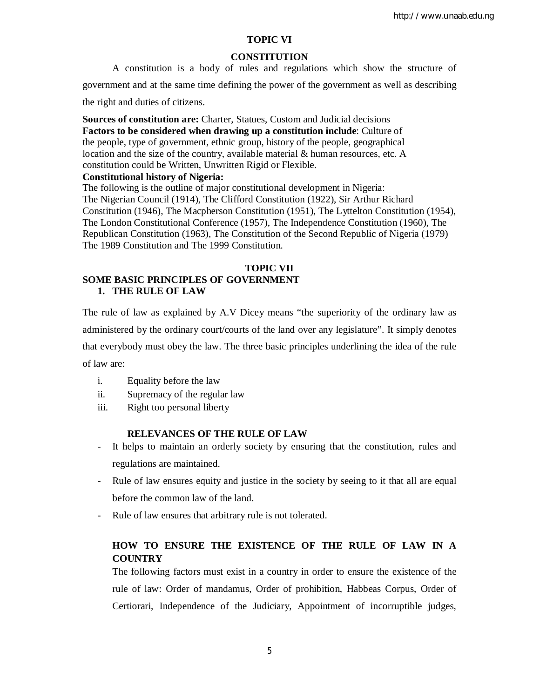# **TOPIC VI**

#### **CONSTITUTION**

A constitution is a body of rules and regulations which show the structure of government and at the same time defining the power of the government as well as describing

the right and duties of citizens.

**Sources of constitution are:** Charter, Statues, Custom and Judicial decisions **Factors to be considered when drawing up a constitution include**: Culture of the people, type of government, ethnic group, history of the people, geographical location and the size of the country, available material & human resources, etc. A constitution could be Written, Unwritten Rigid or Flexible.

#### **Constitutional history of Nigeria:**

The following is the outline of major constitutional development in Nigeria: The Nigerian Council (1914), The Clifford Constitution (1922), Sir Arthur Richard Constitution (1946), The Macpherson Constitution (1951), The Lyttelton Constitution (1954), The London Constitutional Conference (1957), The Independence Constitution (1960), The Republican Constitution (1963), The Constitution of the Second Republic of Nigeria (1979) The 1989 Constitution and The 1999 Constitution.

## **TOPIC VII SOME BASIC PRINCIPLES OF GOVERNMENT 1. THE RULE OF LAW**

The rule of law as explained by A.V Dicey means "the superiority of the ordinary law as administered by the ordinary court/courts of the land over any legislature". It simply denotes that everybody must obey the law. The three basic principles underlining the idea of the rule of law are:

- i. Equality before the law
- ii. Supremacy of the regular law
- iii. Right too personal liberty

#### **RELEVANCES OF THE RULE OF LAW**

- It helps to maintain an orderly society by ensuring that the constitution, rules and regulations are maintained.
- Rule of law ensures equity and justice in the society by seeing to it that all are equal before the common law of the land.
- Rule of law ensures that arbitrary rule is not tolerated.

# **HOW TO ENSURE THE EXISTENCE OF THE RULE OF LAW IN A COUNTRY**

The following factors must exist in a country in order to ensure the existence of the rule of law: Order of mandamus, Order of prohibition, Habbeas Corpus, Order of Certiorari, Independence of the Judiciary, Appointment of incorruptible judges,